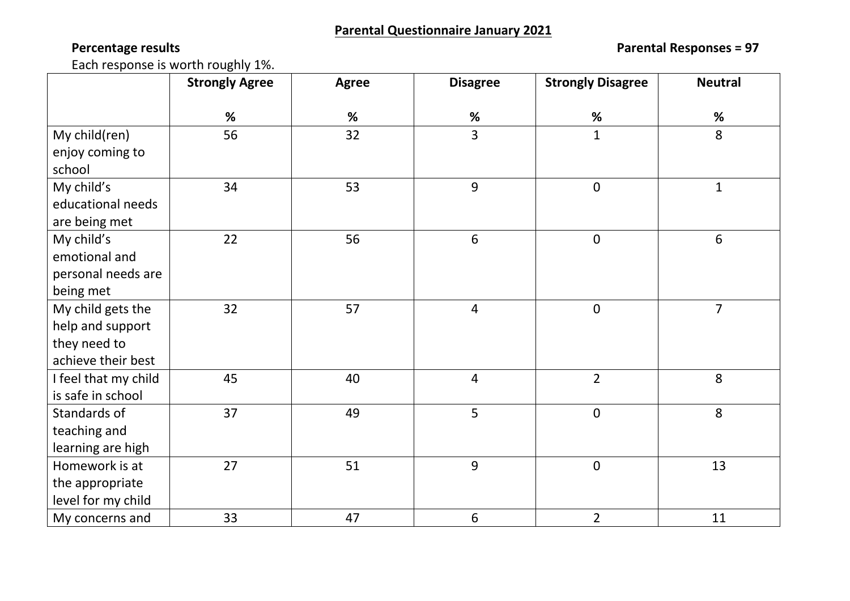**Percentage results Parental Responses = 97**

Each response is worth roughly 1%.

|                      | <b>Strongly Agree</b> | <b>Agree</b> | <b>Disagree</b> | <b>Strongly Disagree</b> | <b>Neutral</b> |
|----------------------|-----------------------|--------------|-----------------|--------------------------|----------------|
|                      | %                     | %            | %               | %                        | $\%$           |
| My child(ren)        | 56                    | 32           | $\overline{3}$  | $\mathbf{1}$             | 8              |
| enjoy coming to      |                       |              |                 |                          |                |
| school               |                       |              |                 |                          |                |
| My child's           | 34                    | 53           | 9               | $\mathbf 0$              | $\mathbf{1}$   |
| educational needs    |                       |              |                 |                          |                |
| are being met        |                       |              |                 |                          |                |
| My child's           | 22                    | 56           | $6\,$           | $\pmb{0}$                | 6              |
| emotional and        |                       |              |                 |                          |                |
| personal needs are   |                       |              |                 |                          |                |
| being met            |                       |              |                 |                          |                |
| My child gets the    | 32                    | 57           | $\overline{4}$  | $\boldsymbol{0}$         | $\overline{7}$ |
| help and support     |                       |              |                 |                          |                |
| they need to         |                       |              |                 |                          |                |
| achieve their best   |                       |              |                 |                          |                |
| I feel that my child | 45                    | 40           | $\overline{4}$  | $\overline{2}$           | 8              |
| is safe in school    |                       |              |                 |                          |                |
| Standards of         | 37                    | 49           | 5               | $\mathbf 0$              | 8              |
| teaching and         |                       |              |                 |                          |                |
| learning are high    |                       |              |                 |                          |                |
| Homework is at       | 27                    | 51           | 9               | $\mathbf 0$              | 13             |
| the appropriate      |                       |              |                 |                          |                |
| level for my child   |                       |              |                 |                          |                |
| My concerns and      | 33                    | 47           | $6\phantom{1}$  | $\overline{2}$           | 11             |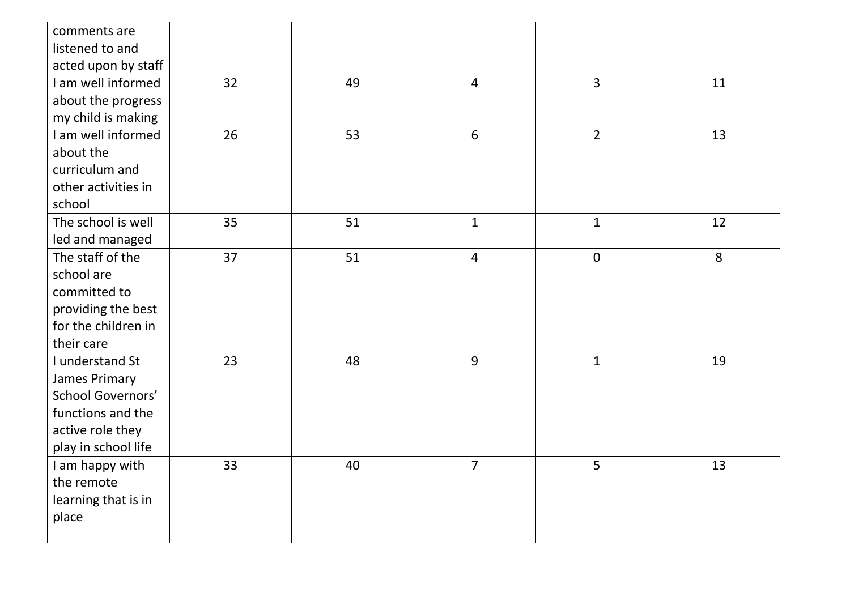| comments are<br>listened to and |    |    |                 |                |    |
|---------------------------------|----|----|-----------------|----------------|----|
| acted upon by staff             |    |    |                 |                |    |
| I am well informed              | 32 | 49 | $\overline{4}$  | $\overline{3}$ | 11 |
| about the progress              |    |    |                 |                |    |
| my child is making              |    |    |                 |                |    |
| I am well informed              | 26 | 53 | $6\phantom{1}6$ | $\overline{2}$ | 13 |
| about the                       |    |    |                 |                |    |
| curriculum and                  |    |    |                 |                |    |
| other activities in             |    |    |                 |                |    |
| school                          |    |    |                 |                |    |
| The school is well              | 35 | 51 | $\mathbf{1}$    | $\mathbf{1}$   | 12 |
| led and managed                 |    |    |                 |                |    |
| The staff of the                | 37 | 51 | $\overline{4}$  | $\pmb{0}$      | 8  |
| school are                      |    |    |                 |                |    |
| committed to                    |    |    |                 |                |    |
| providing the best              |    |    |                 |                |    |
| for the children in             |    |    |                 |                |    |
| their care                      |    |    |                 |                |    |
| I understand St                 | 23 | 48 | 9               | $\mathbf{1}$   | 19 |
| <b>James Primary</b>            |    |    |                 |                |    |
| <b>School Governors'</b>        |    |    |                 |                |    |
| functions and the               |    |    |                 |                |    |
| active role they                |    |    |                 |                |    |
| play in school life             |    |    |                 |                |    |
| I am happy with                 | 33 | 40 | $\overline{7}$  | 5 <sup>1</sup> | 13 |
| the remote                      |    |    |                 |                |    |
| learning that is in             |    |    |                 |                |    |
| place                           |    |    |                 |                |    |
|                                 |    |    |                 |                |    |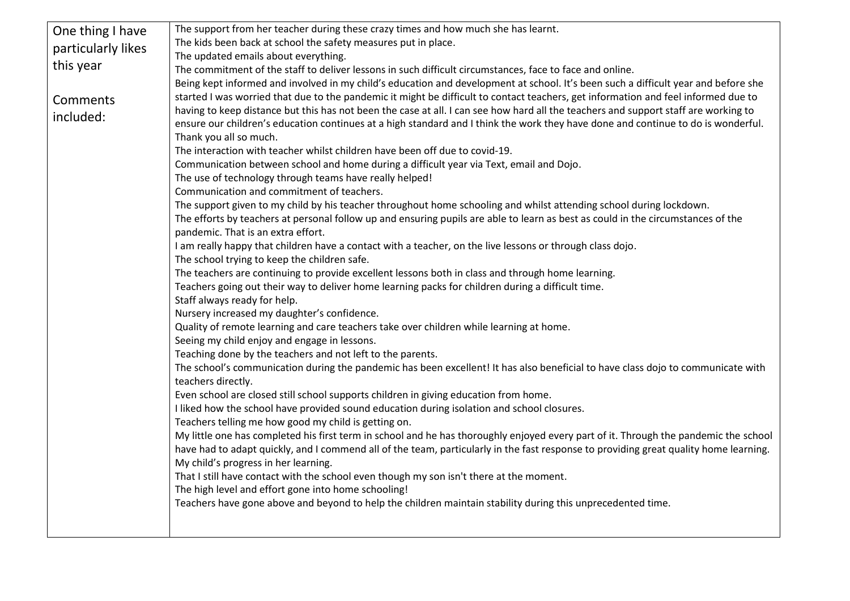| One thing I have   | The support from her teacher during these crazy times and how much she has learnt.                                                    |  |  |
|--------------------|---------------------------------------------------------------------------------------------------------------------------------------|--|--|
| particularly likes | The kids been back at school the safety measures put in place.                                                                        |  |  |
|                    | The updated emails about everything.                                                                                                  |  |  |
| this year          | The commitment of the staff to deliver lessons in such difficult circumstances, face to face and online.                              |  |  |
|                    | Being kept informed and involved in my child's education and development at school. It's been such a difficult year and before she    |  |  |
| Comments           | started I was worried that due to the pandemic it might be difficult to contact teachers, get information and feel informed due to    |  |  |
| included:          | having to keep distance but this has not been the case at all. I can see how hard all the teachers and support staff are working to   |  |  |
|                    | ensure our children's education continues at a high standard and I think the work they have done and continue to do is wonderful.     |  |  |
|                    | Thank you all so much.                                                                                                                |  |  |
|                    | The interaction with teacher whilst children have been off due to covid-19.                                                           |  |  |
|                    | Communication between school and home during a difficult year via Text, email and Dojo.                                               |  |  |
|                    | The use of technology through teams have really helped!                                                                               |  |  |
|                    | Communication and commitment of teachers.                                                                                             |  |  |
|                    | The support given to my child by his teacher throughout home schooling and whilst attending school during lockdown.                   |  |  |
|                    | The efforts by teachers at personal follow up and ensuring pupils are able to learn as best as could in the circumstances of the      |  |  |
|                    | pandemic. That is an extra effort.                                                                                                    |  |  |
|                    | I am really happy that children have a contact with a teacher, on the live lessons or through class dojo.                             |  |  |
|                    | The school trying to keep the children safe.                                                                                          |  |  |
|                    | The teachers are continuing to provide excellent lessons both in class and through home learning.                                     |  |  |
|                    | Teachers going out their way to deliver home learning packs for children during a difficult time.                                     |  |  |
|                    | Staff always ready for help.                                                                                                          |  |  |
|                    | Nursery increased my daughter's confidence.                                                                                           |  |  |
|                    | Quality of remote learning and care teachers take over children while learning at home.                                               |  |  |
|                    | Seeing my child enjoy and engage in lessons.                                                                                          |  |  |
|                    | Teaching done by the teachers and not left to the parents.                                                                            |  |  |
|                    | The school's communication during the pandemic has been excellent! It has also beneficial to have class dojo to communicate with      |  |  |
|                    | teachers directly.                                                                                                                    |  |  |
|                    | Even school are closed still school supports children in giving education from home.                                                  |  |  |
|                    | I liked how the school have provided sound education during isolation and school closures.                                            |  |  |
|                    | Teachers telling me how good my child is getting on.                                                                                  |  |  |
|                    | My little one has completed his first term in school and he has thoroughly enjoyed every part of it. Through the pandemic the school  |  |  |
|                    | have had to adapt quickly, and I commend all of the team, particularly in the fast response to providing great quality home learning. |  |  |
|                    | My child's progress in her learning.                                                                                                  |  |  |
|                    | That I still have contact with the school even though my son isn't there at the moment.                                               |  |  |
|                    | The high level and effort gone into home schooling!                                                                                   |  |  |
|                    | Teachers have gone above and beyond to help the children maintain stability during this unprecedented time.                           |  |  |
|                    |                                                                                                                                       |  |  |
|                    |                                                                                                                                       |  |  |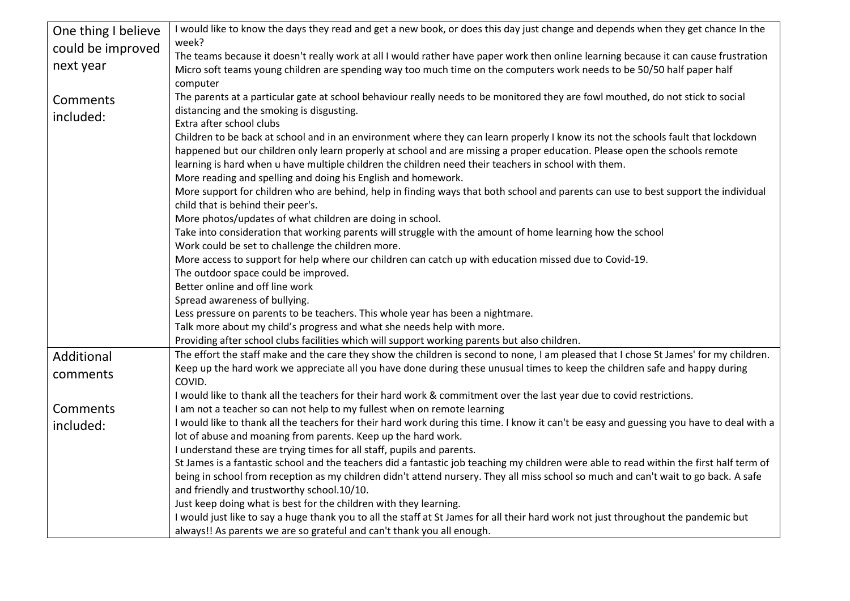| One thing I believe | I would like to know the days they read and get a new book, or does this day just change and depends when they get chance In the                                        |
|---------------------|-------------------------------------------------------------------------------------------------------------------------------------------------------------------------|
| could be improved   | week?                                                                                                                                                                   |
| next year           | The teams because it doesn't really work at all I would rather have paper work then online learning because it can cause frustration                                    |
|                     | Micro soft teams young children are spending way too much time on the computers work needs to be 50/50 half paper half                                                  |
|                     | computer                                                                                                                                                                |
| Comments            | The parents at a particular gate at school behaviour really needs to be monitored they are fowl mouthed, do not stick to social                                         |
| included:           | distancing and the smoking is disgusting.                                                                                                                               |
|                     | Extra after school clubs                                                                                                                                                |
|                     | Children to be back at school and in an environment where they can learn properly I know its not the schools fault that lockdown                                        |
|                     | happened but our children only learn properly at school and are missing a proper education. Please open the schools remote                                              |
|                     | learning is hard when u have multiple children the children need their teachers in school with them.                                                                    |
|                     | More reading and spelling and doing his English and homework.                                                                                                           |
|                     | More support for children who are behind, help in finding ways that both school and parents can use to best support the individual                                      |
|                     | child that is behind their peer's.                                                                                                                                      |
|                     | More photos/updates of what children are doing in school.<br>Take into consideration that working parents will struggle with the amount of home learning how the school |
|                     | Work could be set to challenge the children more.                                                                                                                       |
|                     | More access to support for help where our children can catch up with education missed due to Covid-19.                                                                  |
|                     | The outdoor space could be improved.                                                                                                                                    |
|                     | Better online and off line work                                                                                                                                         |
|                     | Spread awareness of bullying.                                                                                                                                           |
|                     | Less pressure on parents to be teachers. This whole year has been a nightmare.                                                                                          |
|                     | Talk more about my child's progress and what she needs help with more.                                                                                                  |
|                     | Providing after school clubs facilities which will support working parents but also children.                                                                           |
| Additional          | The effort the staff make and the care they show the children is second to none, I am pleased that I chose St James' for my children.                                   |
|                     | Keep up the hard work we appreciate all you have done during these unusual times to keep the children safe and happy during                                             |
| comments            | COVID.                                                                                                                                                                  |
|                     | I would like to thank all the teachers for their hard work & commitment over the last year due to covid restrictions.                                                   |
| Comments            | I am not a teacher so can not help to my fullest when on remote learning                                                                                                |
| included:           | I would like to thank all the teachers for their hard work during this time. I know it can't be easy and guessing you have to deal with a                               |
|                     | lot of abuse and moaning from parents. Keep up the hard work.                                                                                                           |
|                     | I understand these are trying times for all staff, pupils and parents.                                                                                                  |
|                     | St James is a fantastic school and the teachers did a fantastic job teaching my children were able to read within the first half term of                                |
|                     | being in school from reception as my children didn't attend nursery. They all miss school so much and can't wait to go back. A safe                                     |
|                     | and friendly and trustworthy school.10/10.                                                                                                                              |
|                     | Just keep doing what is best for the children with they learning.                                                                                                       |
|                     | I would just like to say a huge thank you to all the staff at St James for all their hard work not just throughout the pandemic but                                     |
|                     | always!! As parents we are so grateful and can't thank you all enough.                                                                                                  |